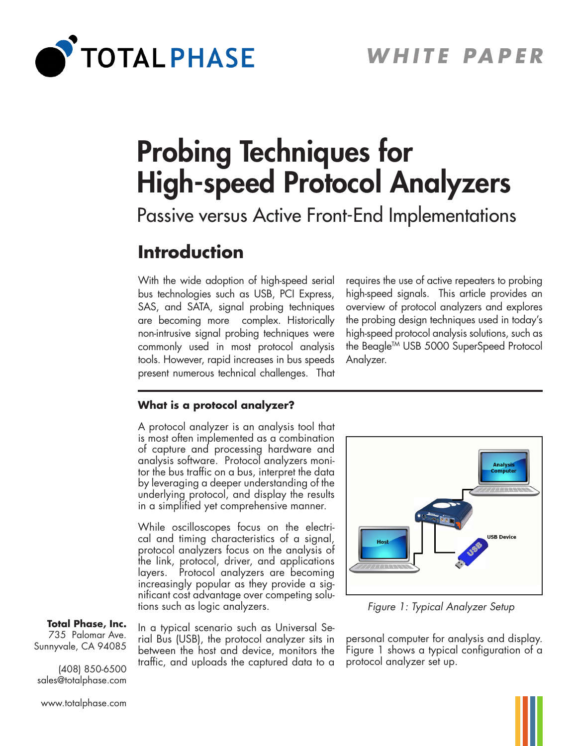

# Probing Techniques for High-speed Protocol Analyzers

Passive versus Active Front-End Implementations

# **Introduction**

With the wide adoption of high-speed serial bus technologies such as USB, PCI Express, SAS, and SATA, signal probing techniques are becoming more complex. Historically non-intrusive signal probing techniques were commonly used in most protocol analysis tools. However, rapid increases in bus speeds present numerous technical challenges. That requires the use of active repeaters to probing high-speed signals. This article provides an overview of protocol analyzers and explores the probing design techniques used in today's high-speed protocol analysis solutions, such as the Beagle™ USB 5000 SuperSpeed Protocol Analyzer.

#### **What is a protocol analyzer?**

A protocol analyzer is an analysis tool that is most often implemented as a combination of capture and processing hardware and analysis software. Protocol analyzers monitor the bus traffic on a bus, interpret the data by leveraging a deeper understanding of the underlying protocol, and display the results in a simplified yet comprehensive manner.

While oscilloscopes focus on the electrical and timing characteristics of a signal, protocol analyzers focus on the analysis of the link, protocol, driver, and applications layers. Protocol analyzers are becoming increasingly popular as they provide a significant cost advantage over competing solutions such as logic analyzers.

#### **Total Phase, Inc.**

735 Palomar Ave. Sunnyvale, CA 94085

(408) 850-6500 sales@totalphase.com In a typical scenario such as Universal Serial Bus (USB), the protocol analyzer sits in between the host and device, monitors the traffic, and uploads the captured data to a



*Figure 1: Typical Analyzer Setup*

personal computer for analysis and display. Figure 1 shows a typical configuration of a protocol analyzer set up.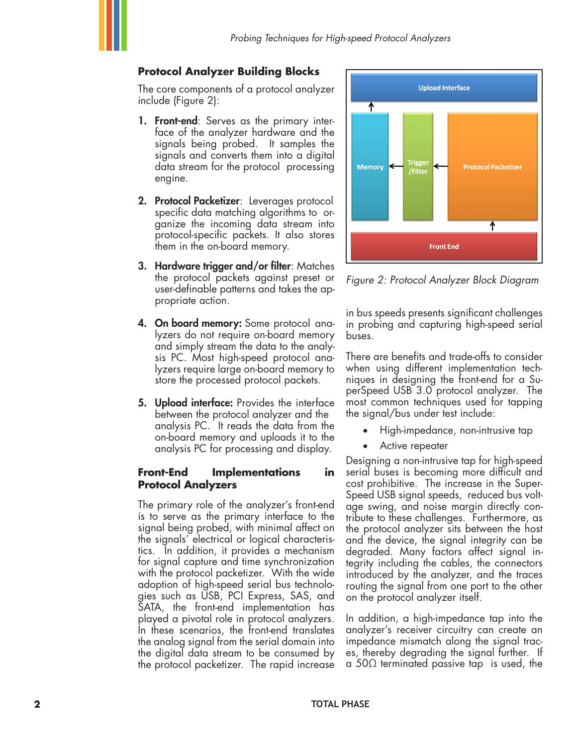# **Protocol Analyzer Building Blocks**

The core components of a protocol analyzer include (Figure 2):

- 1. Front-end: Serves as the primary interface of the analyzer hardware and the signals being probed. It samples the signals and converts them into a digital data stream for the protocol processing engine.
- 2. Protocol Packetizer: Leverages protocol specific data matching algorithms to organize the incoming data stream into protocol-specific packets. It also stores them in the on-board memory.
- 3. Hardware trigger and/or filter: Matches the protocol packets against preset or user-definable patterns and takes the appropriate action.
- 4. On board memory: Some protocol analyzers do not require on-board memory and simply stream the data to the analysis PC. Most high-speed protocol analyzers require large on-board memory to store the processed protocol packets.
- **5. Upload interface:** Provides the interface between the protocol analyzer and the analysis PC. It reads the data from the on-board memory and uploads it to the analysis PC for processing and display.

# **Front-End Implementations in Protocol Analyzers**

The primary role of the analyzer's front-end is to serve as the primary interface to the signal being probed, with minimal affect on the signals' electrical or logical characteristics. In addition, it provides a mechanism for signal capture and time synchronization with the protocol packetizer. With the wide adoption of high-speed serial bus technologies such as USB, PCI Express, SAS, and SATA, the front-end implementation has played a pivotal role in protocol analyzers. In these scenarios, the front-end translates the analog signal from the serial domain into the digital data stream to be consumed by the protocol packetizer. The rapid increase



*Figure 2: Protocol Analyzer Block Diagram*

in bus speeds presents significant challenges in probing and capturing high-speed serial buses.

There are benefits and trade-offs to consider when using different implementation techniques in designing the front-end for a SuperSpeed USB 3.0 protocol analyzer. The most common techniques used for tapping the signal/bus under test include:

- High-impedance, non-intrusive tap
- Active repeater

Designing a non-intrusive tap for high-speed serial buses is becoming more difficult and cost prohibitive. The increase in the Super-Speed USB signal speeds, reduced bus voltage swing, and noise margin directly contribute to these challenges. Furthermore, as the protocol analyzer sits between the host and the device, the signal integrity can be degraded. Many factors affect signal integrity including the cables, the connectors introduced by the analyzer, and the traces routing the signal from one port to the other on the protocol analyzer itself.

In addition, a high-impedance tap into the analyzer's receiver circuitry can create an impedance mismatch along the signal traces, thereby degrading the signal further. If a 50Ω terminated passive tap is used, the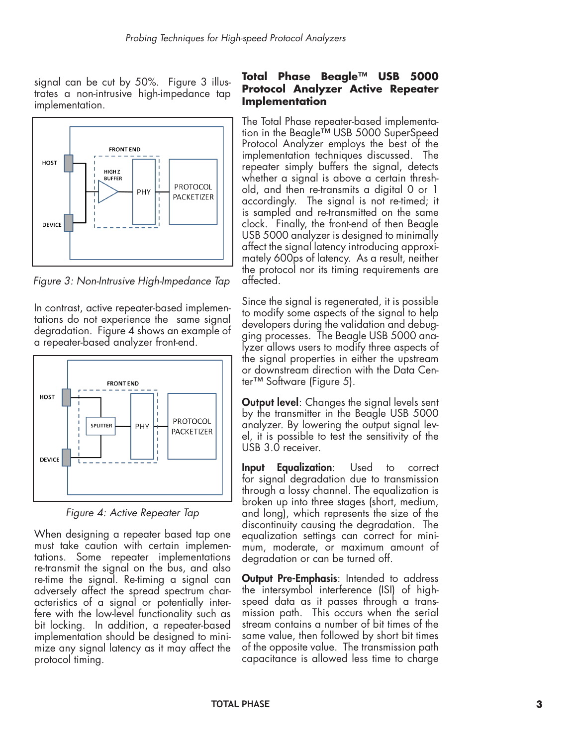signal can be cut by 50%. Figure 3 illustrates a non-intrusive high-impedance tap implementation.



*Figure 3: Non-Intrusive High-Impedance Tap*

In contrast, active repeater-based implementations do not experience the same signal degradation. Figure 4 shows an example of a repeater-based analyzer front-end.



*Figure 4: Active Repeater Tap*

When designing a repeater based tap one must take caution with certain implementations. Some repeater implementations re-transmit the signal on the bus, and also re-time the signal. Re-timing a signal can adversely affect the spread spectrum characteristics of a signal or potentially interfere with the low-level functionality such as bit locking. In addition, a repeater-based implementation should be designed to minimize any signal latency as it may affect the protocol timing.

## **Total Phase Beagle™ USB 5000 Protocol Analyzer Active Repeater Implementation**

The Total Phase repeater-based implementation in the Beagle™ USB 5000 SuperSpeed Protocol Analyzer employs the best of the implementation techniques discussed. The repeater simply buffers the signal, detects whether a signal is above a certain threshold, and then re-transmits a digital 0 or 1 accordingly. The signal is not re-timed; it is sampled and re-transmitted on the same clock. Finally, the front-end of then Beagle USB 5000 analyzer is designed to minimally affect the signal latency introducing approximately 600ps of latency. As a result, neither the protocol nor its timing requirements are affected.

Since the signal is regenerated, it is possible to modify some aspects of the signal to help developers during the validation and debugging processes. The Beagle USB 5000 analyzer allows users to modify three aspects of the signal properties in either the upstream or downstream direction with the Data Center™ Software (Figure 5).

**Output level:** Changes the signal levels sent by the transmitter in the Beagle USB 5000 analyzer. By lowering the output signal level, it is possible to test the sensitivity of the USB 3.0 receiver.

Input Equalization: Used to correct for signal degradation due to transmission through a lossy channel. The equalization is broken up into three stages (short, medium, and long), which represents the size of the discontinuity causing the degradation. The equalization settings can correct for minimum, moderate, or maximum amount of degradation or can be turned off.

**Output Pre-Emphasis:** Intended to address the intersymbol interference (ISI) of highspeed data as it passes through a transmission path. This occurs when the serial stream contains a number of bit times of the same value, then followed by short bit times of the opposite value. The transmission path capacitance is allowed less time to charge